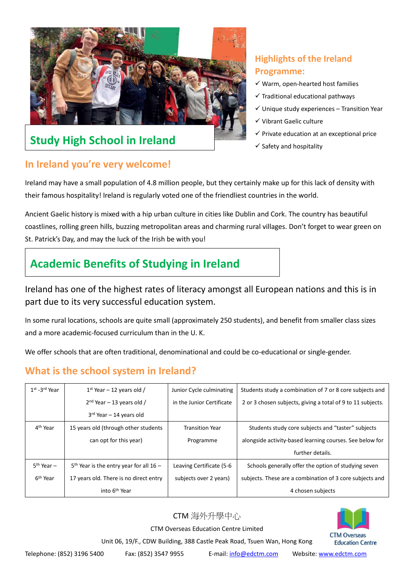

# Study High School in Ireland **Study High School in Ireland Study Allows** Safety and hospitality

## **In Ireland you're very welcome!**

## **Highlights of the Ireland Programme:**

- $\checkmark$  Warm, open-hearted host families
- $\checkmark$  Traditional educational pathways
- $\checkmark$  Unique study experiences Transition Year
- ✓ Vibrant Gaelic culture
- $\checkmark$  Private education at an exceptional price
- 

Ireland may have a small population of 4.8 million people, but they certainly make up for this lack of density with their famous hospitality! Ireland is regularly voted one of the friendliest countries in the world.

Ancient Gaelic history is mixed with a hip urban culture in cities like Dublin and Cork. The country has beautiful coastlines, rolling green hills, buzzing metropolitan areas and charming rural villages. Don't forget to wear green on St. Patrick's Day, and may the luck of the Irish be with you!

# **Academic Benefits of Studying in Ireland**

Ireland has one of the highest rates of literacy amongst all European nations and this is in part due to its very successful education system.

In some rural locations, schools are quite small (approximately 250 students), and benefit from smaller class sizes and a more academic-focused curriculum than in the U. K.

We offer schools that are often traditional, denominational and could be co-educational or single-gender.

## **What is the school system in Ireland?**

| $1st - 3rd$ Year       | $1st$ Year – 12 years old /               | Junior Cycle culminating  | Students study a combination of 7 or 8 core subjects and    |
|------------------------|-------------------------------------------|---------------------------|-------------------------------------------------------------|
|                        | $2nd$ Year – 13 years old /               | in the Junior Certificate | 2 or 3 chosen subjects, giving a total of 9 to 11 subjects. |
|                        | $3rd$ Year - 14 years old                 |                           |                                                             |
| 4 <sup>th</sup> Year   | 15 years old (through other students      | <b>Transition Year</b>    | Students study core subjects and "taster" subjects          |
|                        | can opt for this year)                    | Programme                 | alongside activity-based learning courses. See below for    |
|                        |                                           |                           | further details.                                            |
| 5 <sup>th</sup> Year - | $5th$ Year is the entry year for all 16 – | Leaving Certificate (5-6  | Schools generally offer the option of studying seven        |
| 6 <sup>th</sup> Year   | 17 years old. There is no direct entry    | subjects over 2 years)    | subjects. These are a combination of 3 core subjects and    |
|                        | into 6 <sup>th</sup> Year                 |                           | 4 chosen subjects                                           |

### CTM 海外升學中心

CTM Overseas Education Centre Limited



Unit 06, 19/F., CDW Building, 388 Castle Peak Road, Tsuen Wan, Hong Kong

Telephone: (852) 3196 5400 Fax: (852) 3547 9955 E-mail: [info@edctm.com](mailto:info@edctm.com) Website[: www.edctm.com](http://www.edctm.com/)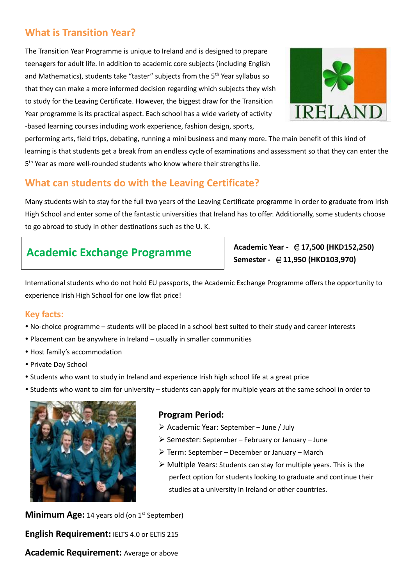## **What is Transition Year?**

The Transition Year Programme is unique to Ireland and is designed to prepare teenagers for adult life. In addition to academic core subjects (including English and Mathematics), students take "taster" subjects from the  $5<sup>th</sup>$  Year syllabus so that they can make a more informed decision regarding which subjects they wish to study for the Leaving Certificate. However, the biggest draw for the Transition Year programme is its practical aspect. Each school has a wide variety of activity -based learning courses including work experience, fashion design, sports,



performing arts, field trips, debating, running a mini business and many more. The main benefit of this kind of learning is that students get a break from an endless cycle of examinations and assessment so that they can enter the 5<sup>th</sup> Year as more well-rounded students who know where their strengths lie.

## **What can students do with the Leaving Certificate?**

Many students wish to stay for the full two years of the Leaving Certificate programme in order to graduate from Irish High School and enter some of the fantastic universities that Ireland has to offer. Additionally, some students choose to go abroad to study in other destinations such as the U. K.

# **Academic Exchange Programme Academic Year -** €**17,500 (HKD152,250)**

**Semester -** €**11,950 (HKD103,970)**

International students who do not hold EU passports, the Academic Exchange Programme offers the opportunity to experience Irish High School for one low flat price!

### **Key facts:**

- No-choice programme students will be placed in a school best suited to their study and career interests
- Placement can be anywhere in Ireland usually in smaller communities
- Host family's accommodation
- Private Day School
- Students who want to study in Ireland and experience Irish high school life at a great price
- Students who want to aim for university students can apply for multiple years at the same school in order to



### **Program Period:**

- ➢ Academic Year: September June / July
- $\triangleright$  Semester: September February or January June
- ➢ Term: September December or January March
- $\triangleright$  Multiple Years: Students can stay for multiple years. This is the perfect option for students looking to graduate and continue their studies at a university in Ireland or other countries.

**Minimum Age:** 14 years old (on 1<sup>st</sup> September) **English Requirement:** IELTS 4.0 or ELTiS 215 **Academic Requirement:** Average or above